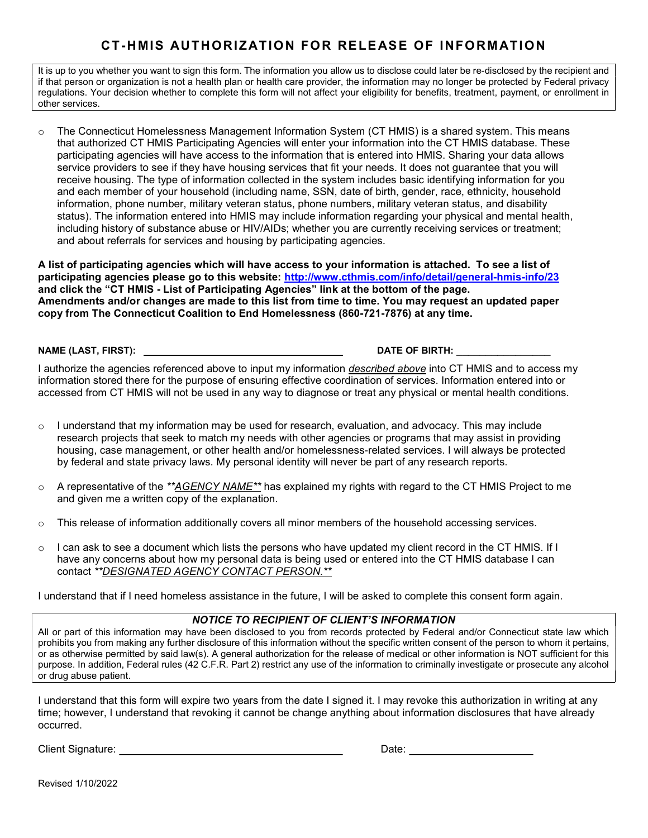## CT-HMIS AUTHORIZAT ION FOR RELE ASE OF INFORMATIO N

It is up to you whether you want to sign this form. The information you allow us to disclose could later be re-disclosed by the recipient and if that person or organization is not a health plan or health care provider, the information may no longer be protected by Federal privacy regulations. Your decision whether to complete this form will not affect your eligibility for benefits, treatment, payment, or enrollment in other services.

o The Connecticut Homelessness Management Information System (CT HMIS) is a shared system. This means that authorized CT HMIS Participating Agencies will enter your information into the CT HMIS database. These participating agencies will have access to the information that is entered into HMIS. Sharing your data allows service providers to see if they have housing services that fit your needs. It does not guarantee that you will receive housing. The type of information collected in the system includes basic identifying information for you and each member of your household (including name, SSN, date of birth, gender, race, ethnicity, household information, phone number, military veteran status, phone numbers, military veteran status, and disability status). The information entered into HMIS may include information regarding your physical and mental health, including history of substance abuse or HIV/AIDs; whether you are currently receiving services or treatment; and about referrals for services and housing by participating agencies.

A list of participating agencies which will have access to your information is attached. To see a list of participating agencies please go to this website: http://www.cthmis.com/info/detail/general-hmis-info/23 and click the "CT HMIS - List of Participating Agencies" link at the bottom of the page. Amendments and/or changes are made to this list from time to time. You may request an updated paper copy from The Connecticut Coalition to End Homelessness (860-721-7876) at any time.

NAME (LAST, FIRST): DATE OF BIRTH:

I authorize the agencies referenced above to input my information *described above* into CT HMIS and to access my information stored there for the purpose of ensuring effective coordination of services. Information entered into or accessed from CT HMIS will not be used in any way to diagnose or treat any physical or mental health conditions.

- $\circ$  I understand that my information may be used for research, evaluation, and advocacy. This may include research projects that seek to match my needs with other agencies or programs that may assist in providing housing, case management, or other health and/or homelessness-related services. I will always be protected by federal and state privacy laws. My personal identity will never be part of any research reports.
- $\circ$  A representative of the \*\*AGENCY NAME\*\* has explained my rights with regard to the CT HMIS Project to me and given me a written copy of the explanation.
- o This release of information additionally covers all minor members of the household accessing services.
- $\circ$  I can ask to see a document which lists the persons who have updated my client record in the CT HMIS. If I have any concerns about how my personal data is being used or entered into the CT HMIS database I can contact \*\*DESIGNATED AGENCY CONTACT PERSON.\*\*

I understand that if I need homeless assistance in the future, I will be asked to complete this consent form again.

#### NOTICE TO RECIPIENT OF CLIENT'S INFORMATION

All or part of this information may have been disclosed to you from records protected by Federal and/or Connecticut state law which prohibits you from making any further disclosure of this information without the specific written consent of the person to whom it pertains, or as otherwise permitted by said law(s). A general authorization for the release of medical or other information is NOT sufficient for this purpose. In addition, Federal rules (42 C.F.R. Part 2) restrict any use of the information to criminally investigate or prosecute any alcohol or drug abuse patient.

I understand that this form will expire two years from the date I signed it. I may revoke this authorization in writing at any time; however, I understand that revoking it cannot be change anything about information disclosures that have already occurred.

Client Signature: <u>Date:</u> Date: Date: Date: Date: Date: Date: Date: Date: Date: Date: Date: Date: Date: Date: Date: Date: Date: Date: Date: Date: Date: Date: Date: Date: Date: Date: Date: Date: Date: Date: Date: Date: Date

Revised 1/10/2022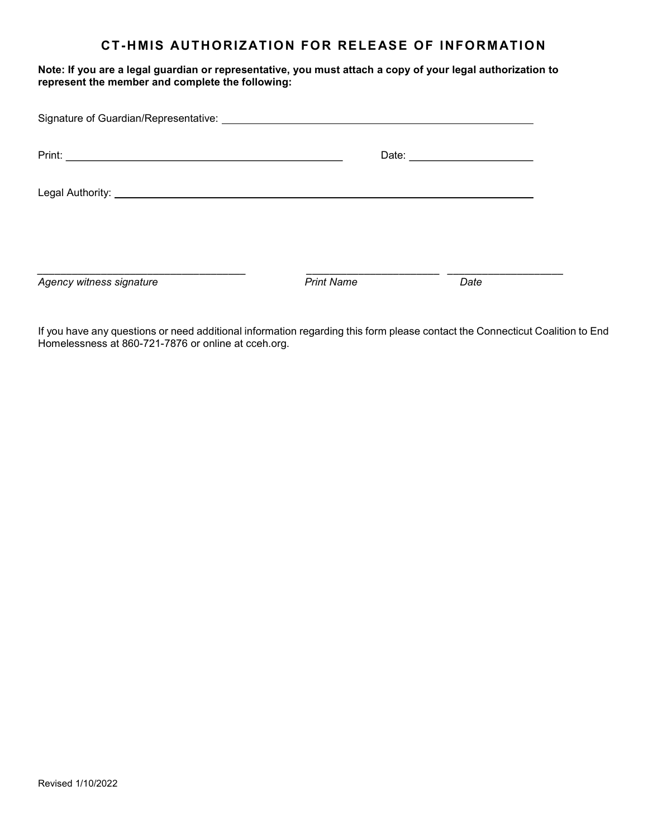### CT-HMIS AUTHORIZATION FOR RELEASE OF INFORMATION

Note: If you are a legal guardian or representative, you must attach a copy of your legal authorization to represent the member and complete the following:

|                          |                   | Date: ________________________ |
|--------------------------|-------------------|--------------------------------|
|                          |                   |                                |
|                          |                   |                                |
| Agency witness signature | <b>Print Name</b> | Date                           |

If you have any questions or need additional information regarding this form please contact the Connecticut Coalition to End Homelessness at 860-721-7876 or online at cceh.org.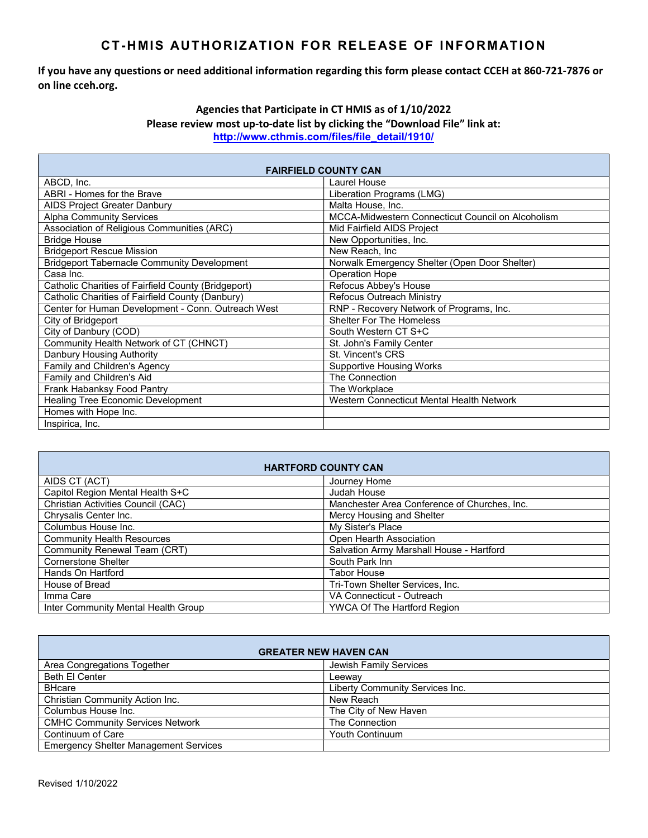### CT-HMIS AUTHORIZATION FOR RELEASE OF INFORMATION

If you have any questions or need additional information regarding this form please contact CCEH at 860-721-7876 or on line cceh.org.

#### Agencies that Participate in CT HMIS as of 1/10/2022 Please review most up-to-date list by clicking the "Download File" link at: http://www.cthmis.com/files/file\_detail/1910/

| <b>FAIRFIELD COUNTY CAN</b>                         |                                                   |  |
|-----------------------------------------------------|---------------------------------------------------|--|
| ABCD, Inc.                                          | Laurel House                                      |  |
| ABRI - Homes for the Brave                          | Liberation Programs (LMG)                         |  |
| <b>AIDS Project Greater Danbury</b>                 | Malta House, Inc.                                 |  |
| <b>Alpha Community Services</b>                     | MCCA-Midwestern Connecticut Council on Alcoholism |  |
| Association of Religious Communities (ARC)          | Mid Fairfield AIDS Project                        |  |
| <b>Bridge House</b>                                 | New Opportunities, Inc.                           |  |
| <b>Bridgeport Rescue Mission</b>                    | New Reach, Inc.                                   |  |
| <b>Bridgeport Tabernacle Community Development</b>  | Norwalk Emergency Shelter (Open Door Shelter)     |  |
| Casa Inc.                                           | Operation Hope                                    |  |
| Catholic Charities of Fairfield County (Bridgeport) | Refocus Abbey's House                             |  |
| Catholic Charities of Fairfield County (Danbury)    | <b>Refocus Outreach Ministry</b>                  |  |
| Center for Human Development - Conn. Outreach West  | RNP - Recovery Network of Programs, Inc.          |  |
| City of Bridgeport                                  | <b>Shelter For The Homeless</b>                   |  |
| City of Danbury (COD)                               | South Western CT S+C                              |  |
| Community Health Network of CT (CHNCT)              | St. John's Family Center                          |  |
| Danbury Housing Authority                           | St. Vincent's CRS                                 |  |
| Family and Children's Agency                        | <b>Supportive Housing Works</b>                   |  |
| Family and Children's Aid                           | The Connection                                    |  |
| Frank Habanksy Food Pantry                          | The Workplace                                     |  |
| <b>Healing Tree Economic Development</b>            | Western Connecticut Mental Health Network         |  |
| Homes with Hope Inc.                                |                                                   |  |
| Inspirica, Inc.                                     |                                                   |  |

| <b>HARTFORD COUNTY CAN</b>          |                                              |
|-------------------------------------|----------------------------------------------|
| AIDS CT (ACT)                       | Journey Home                                 |
| Capitol Region Mental Health S+C    | Judah House                                  |
| Christian Activities Council (CAC)  | Manchester Area Conference of Churches, Inc. |
| Chrysalis Center Inc.               | Mercy Housing and Shelter                    |
| Columbus House Inc.                 | My Sister's Place                            |
| <b>Community Health Resources</b>   | Open Hearth Association                      |
| Community Renewal Team (CRT)        | Salvation Army Marshall House - Hartford     |
| <b>Cornerstone Shelter</b>          | South Park Inn                               |
| Hands On Hartford                   | <b>Tabor House</b>                           |
| House of Bread                      | Tri-Town Shelter Services, Inc.              |
| Imma Care                           | VA Connecticut - Outreach                    |
| Inter Community Mental Health Group | <b>YWCA Of The Hartford Region</b>           |

| <b>GREATER NEW HAVEN CAN</b>                 |                                 |
|----------------------------------------------|---------------------------------|
| Area Congregations Together                  | Jewish Family Services          |
| Beth El Center                               | Leewav                          |
| <b>BHcare</b>                                | Liberty Community Services Inc. |
| Christian Community Action Inc.              | New Reach                       |
| Columbus House Inc.                          | The City of New Haven           |
| <b>CMHC Community Services Network</b>       | The Connection                  |
| Continuum of Care                            | <b>Youth Continuum</b>          |
| <b>Emergency Shelter Management Services</b> |                                 |